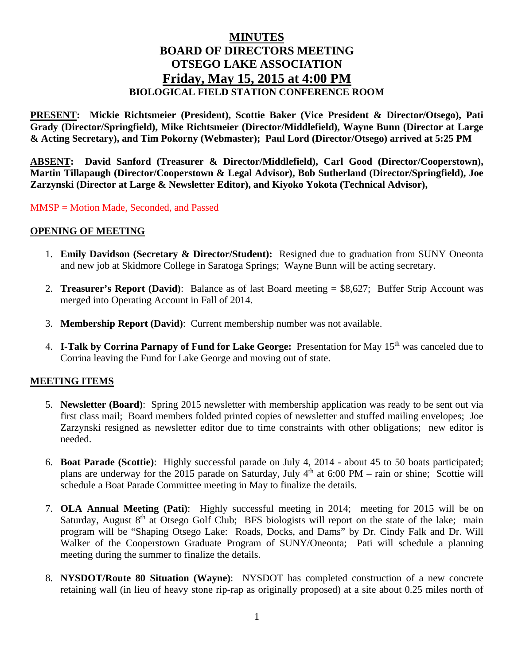# **MINUTES BOARD OF DIRECTORS MEETING OTSEGO LAKE ASSOCIATION Friday, May 15, 2015 at 4:00 PM BIOLOGICAL FIELD STATION CONFERENCE ROOM**

**PRESENT: Mickie Richtsmeier (President), Scottie Baker (Vice President & Director/Otsego), Pati Grady (Director/Springfield), Mike Richtsmeier (Director/Middlefield), Wayne Bunn (Director at Large & Acting Secretary), and Tim Pokorny (Webmaster); Paul Lord (Director/Otsego) arrived at 5:25 PM** 

**ABSENT: David Sanford (Treasurer & Director/Middlefield), Carl Good (Director/Cooperstown), Martin Tillapaugh (Director/Cooperstown & Legal Advisor), Bob Sutherland (Director/Springfield), Joe Zarzynski (Director at Large & Newsletter Editor), and Kiyoko Yokota (Technical Advisor),** 

MMSP = Motion Made, Seconded, and Passed

## **OPENING OF MEETING**

- 1. **Emily Davidson (Secretary & Director/Student):** Resigned due to graduation from SUNY Oneonta and new job at Skidmore College in Saratoga Springs; Wayne Bunn will be acting secretary.
- 2. **Treasurer's Report (David)**: Balance as of last Board meeting = \$8,627; Buffer Strip Account was merged into Operating Account in Fall of 2014.
- 3. **Membership Report (David)**: Current membership number was not available.
- 4. **I-Talk by Corrina Parnapy of Fund for Lake George:** Presentation for May 15th was canceled due to Corrina leaving the Fund for Lake George and moving out of state.

## **MEETING ITEMS**

- 5. **Newsletter (Board)**: Spring 2015 newsletter with membership application was ready to be sent out via first class mail; Board members folded printed copies of newsletter and stuffed mailing envelopes; Joe Zarzynski resigned as newsletter editor due to time constraints with other obligations; new editor is needed.
- 6. **Boat Parade (Scottie)**: Highly successful parade on July 4, 2014 about 45 to 50 boats participated; plans are underway for the 2015 parade on Saturday, July  $4<sup>th</sup>$  at 6:00 PM – rain or shine; Scottie will schedule a Boat Parade Committee meeting in May to finalize the details.
- 7. **OLA Annual Meeting (Pati)**: Highly successful meeting in 2014; meeting for 2015 will be on Saturday, August 8<sup>th</sup> at Otsego Golf Club; BFS biologists will report on the state of the lake; main program will be "Shaping Otsego Lake: Roads, Docks, and Dams" by Dr. Cindy Falk and Dr. Will Walker of the Cooperstown Graduate Program of SUNY/Oneonta; Pati will schedule a planning meeting during the summer to finalize the details.
- 8. **NYSDOT/Route 80 Situation (Wayne)**: NYSDOT has completed construction of a new concrete retaining wall (in lieu of heavy stone rip-rap as originally proposed) at a site about 0.25 miles north of